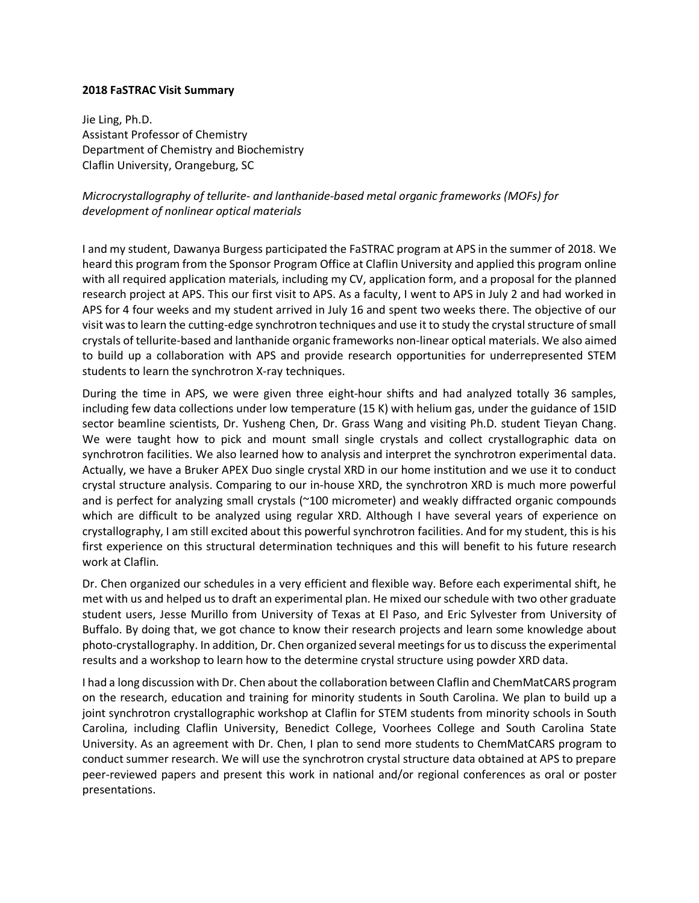## **2018 FaSTRAC Visit Summary**

Jie Ling, Ph.D. Assistant Professor of Chemistry Department of Chemistry and Biochemistry Claflin University, Orangeburg, SC

*Microcrystallography of tellurite- and lanthanide-based metal organic frameworks (MOFs) for development of nonlinear optical materials*

I and my student, Dawanya Burgess participated the FaSTRAC program at APS in the summer of 2018. We heard this program from the Sponsor Program Office at Claflin University and applied this program online with all required application materials, including my CV, application form, and a proposal for the planned research project at APS. This our first visit to APS. As a faculty, I went to APS in July 2 and had worked in APS for 4 four weeks and my student arrived in July 16 and spent two weeks there. The objective of our visit was to learn the cutting-edge synchrotron techniques and use it to study the crystal structure of small crystals of tellurite-based and lanthanide organic frameworks non-linear optical materials. We also aimed to build up a collaboration with APS and provide research opportunities for underrepresented STEM students to learn the synchrotron X-ray techniques.

During the time in APS, we were given three eight-hour shifts and had analyzed totally 36 samples, including few data collections under low temperature (15 K) with helium gas, under the guidance of 15ID sector beamline scientists, Dr. Yusheng Chen, Dr. Grass Wang and visiting Ph.D. student Tieyan Chang. We were taught how to pick and mount small single crystals and collect crystallographic data on synchrotron facilities. We also learned how to analysis and interpret the synchrotron experimental data. Actually, we have a Bruker APEX Duo single crystal XRD in our home institution and we use it to conduct crystal structure analysis. Comparing to our in-house XRD, the synchrotron XRD is much more powerful and is perfect for analyzing small crystals (~100 micrometer) and weakly diffracted organic compounds which are difficult to be analyzed using regular XRD. Although I have several years of experience on crystallography, I am still excited about this powerful synchrotron facilities. And for my student, this is his first experience on this structural determination techniques and this will benefit to his future research work at Claflin.

Dr. Chen organized our schedules in a very efficient and flexible way. Before each experimental shift, he met with us and helped us to draft an experimental plan. He mixed our schedule with two other graduate student users, Jesse Murillo from University of Texas at El Paso, and Eric Sylvester from University of Buffalo. By doing that, we got chance to know their research projects and learn some knowledge about photo-crystallography. In addition, Dr. Chen organized several meetings for us to discuss the experimental results and a workshop to learn how to the determine crystal structure using powder XRD data.

I had a long discussion with Dr. Chen about the collaboration between Claflin and ChemMatCARS program on the research, education and training for minority students in South Carolina. We plan to build up a joint synchrotron crystallographic workshop at Claflin for STEM students from minority schools in South Carolina, including Claflin University, Benedict College, Voorhees College and South Carolina State University. As an agreement with Dr. Chen, I plan to send more students to ChemMatCARS program to conduct summer research. We will use the synchrotron crystal structure data obtained at APS to prepare peer-reviewed papers and present this work in national and/or regional conferences as oral or poster presentations.